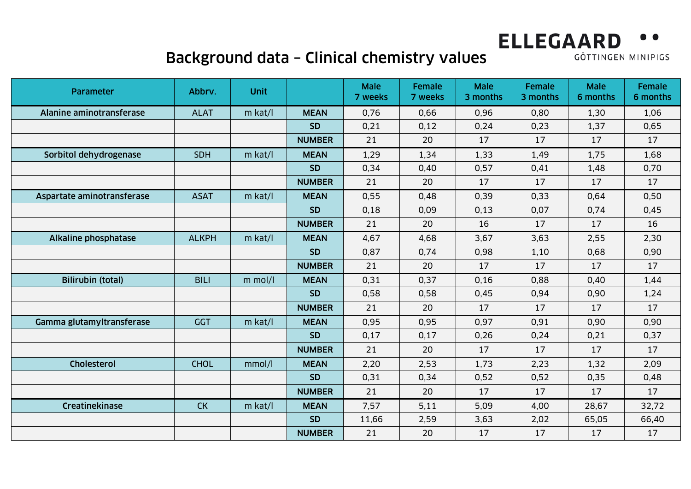# Background data – Clinical chemistry values

| Parameter                  | Abbrv.       | <b>Unit</b> |               | <b>Male</b><br>7 weeks | <b>Female</b><br>7 weeks | <b>Male</b><br>3 months | Female<br>3 months | <b>Male</b><br>6 months | Female<br>6 months |
|----------------------------|--------------|-------------|---------------|------------------------|--------------------------|-------------------------|--------------------|-------------------------|--------------------|
| Alanine aminotransferase   | <b>ALAT</b>  | $m$ kat/l   | <b>MEAN</b>   | 0,76                   | 0,66                     | 0,96                    | 0,80               | 1,30                    | 1,06               |
|                            |              |             | <b>SD</b>     | 0,21                   | 0,12                     | 0,24                    | 0,23               | 1,37                    | 0,65               |
|                            |              |             | <b>NUMBER</b> | 21                     | 20                       | 17                      | 17                 | 17                      | 17                 |
| Sorbitol dehydrogenase     | <b>SDH</b>   | $m$ kat/l   | <b>MEAN</b>   | 1,29                   | 1,34                     | 1,33                    | 1,49               | 1,75                    | 1,68               |
|                            |              |             | <b>SD</b>     | 0,34                   | 0,40                     | 0,57                    | 0,41               | 1,48                    | 0,70               |
|                            |              |             | <b>NUMBER</b> | 21                     | 20                       | 17                      | 17                 | 17                      | 17                 |
| Aspartate aminotransferase | <b>ASAT</b>  | $m$ kat/l   | <b>MEAN</b>   | 0,55                   | 0.48                     | 0.39                    | 0,33               | 0,64                    | 0,50               |
|                            |              |             | <b>SD</b>     | 0,18                   | 0,09                     | 0,13                    | 0,07               | 0,74                    | 0,45               |
|                            |              |             | <b>NUMBER</b> | 21                     | 20                       | 16                      | 17                 | 17                      | 16                 |
| Alkaline phosphatase       | <b>ALKPH</b> | $m$ kat/l   | <b>MEAN</b>   | 4,67                   | 4,68                     | 3,67                    | 3,63               | 2,55                    | 2,30               |
|                            |              |             | <b>SD</b>     | 0,87                   | 0,74                     | 0,98                    | 1,10               | 0,68                    | 0,90               |
|                            |              |             | <b>NUMBER</b> | 21                     | 20                       | 17                      | 17                 | 17                      | 17                 |
| <b>Bilirubin (total)</b>   | <b>BILI</b>  | $m$ mol/l   | <b>MEAN</b>   | 0,31                   | 0,37                     | 0, 16                   | 0,88               | 0,40                    | 1,44               |
|                            |              |             | <b>SD</b>     | 0,58                   | 0,58                     | 0,45                    | 0,94               | 0,90                    | 1,24               |
|                            |              |             | <b>NUMBER</b> | 21                     | 20                       | 17                      | 17                 | 17                      | 17                 |
| Gamma glutamyltransferase  | <b>GGT</b>   | m kat/l     | <b>MEAN</b>   | 0,95                   | 0,95                     | 0,97                    | 0,91               | 0,90                    | 0,90               |
|                            |              |             | <b>SD</b>     | 0,17                   | 0,17                     | 0,26                    | 0,24               | 0,21                    | 0,37               |
|                            |              |             | <b>NUMBER</b> | 21                     | 20                       | 17                      | 17                 | 17                      | 17                 |
| Cholesterol                | <b>CHOL</b>  | mmol/l      | <b>MEAN</b>   | 2,20                   | 2,53                     | 1,73                    | 2,23               | 1,32                    | 2,09               |
|                            |              |             | <b>SD</b>     | 0,31                   | 0,34                     | 0,52                    | 0,52               | 0,35                    | 0,48               |
|                            |              |             | <b>NUMBER</b> | 21                     | 20                       | 17                      | 17                 | 17                      | 17                 |
| Creatinekinase             | CK           | $m$ kat/l   | <b>MEAN</b>   | 7,57                   | 5,11                     | 5,09                    | 4,00               | 28,67                   | 32,72              |
|                            |              |             | <b>SD</b>     | 11,66                  | 2,59                     | 3,63                    | 2,02               | 65,05                   | 66,40              |
|                            |              |             | <b>NUMBER</b> | 21                     | 20                       | 17                      | 17                 | 17                      | 17                 |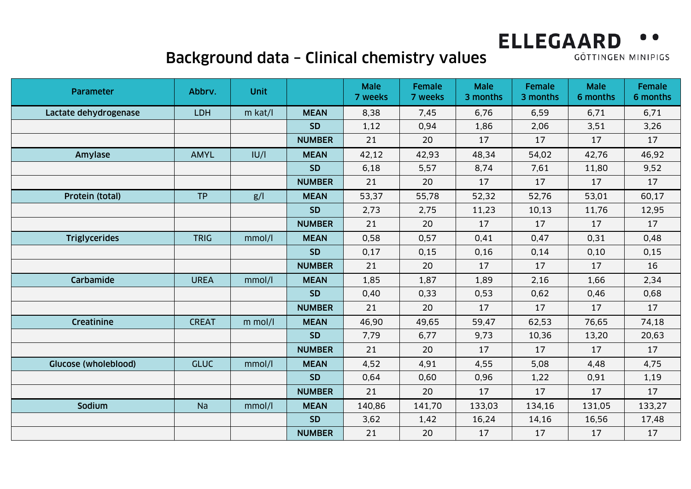# Background data – Clinical chemistry values

| Parameter             | Abbrv.       | <b>Unit</b> |               | <b>Male</b><br>7 weeks | <b>Female</b><br>7 weeks | <b>Male</b><br>3 months | <b>Female</b><br>3 months | <b>Male</b><br>6 months | Female<br>6 months |
|-----------------------|--------------|-------------|---------------|------------------------|--------------------------|-------------------------|---------------------------|-------------------------|--------------------|
| Lactate dehydrogenase | LDH          | $m$ kat/l   | <b>MEAN</b>   | 8,38                   | 7,45                     | 6,76                    | 6,59                      | 6,71                    | 6,71               |
|                       |              |             | <b>SD</b>     | 1,12                   | 0,94                     | 1,86                    | 2,06                      | 3,51                    | 3,26               |
|                       |              |             | <b>NUMBER</b> | 21                     | 20                       | 17                      | 17                        | 17                      | 17                 |
| Amylase               | <b>AMYL</b>  | U/          | <b>MEAN</b>   | 42,12                  | 42,93                    | 48,34                   | 54,02                     | 42,76                   | 46,92              |
|                       |              |             | <b>SD</b>     | 6,18                   | 5,57                     | 8,74                    | 7,61                      | 11,80                   | 9,52               |
|                       |              |             | <b>NUMBER</b> | 21                     | 20                       | 17                      | 17                        | 17                      | 17                 |
| Protein (total)       | <b>TP</b>    | g/          | <b>MEAN</b>   | 53,37                  | 55,78                    | 52,32                   | 52,76                     | 53,01                   | 60,17              |
|                       |              |             | <b>SD</b>     | 2,73                   | 2,75                     | 11,23                   | 10,13                     | 11,76                   | 12,95              |
|                       |              |             | <b>NUMBER</b> | 21                     | 20                       | 17                      | 17                        | 17                      | 17                 |
| <b>Triglycerides</b>  | <b>TRIG</b>  | mmol/l      | <b>MEAN</b>   | 0,58                   | 0,57                     | 0,41                    | 0,47                      | 0,31                    | 0,48               |
|                       |              |             | <b>SD</b>     | 0,17                   | 0,15                     | 0, 16                   | 0,14                      | 0,10                    | 0, 15              |
|                       |              |             | <b>NUMBER</b> | 21                     | 20                       | 17                      | 17                        | 17                      | 16                 |
| Carbamide             | <b>UREA</b>  | mmol/l      | <b>MEAN</b>   | 1,85                   | 1,87                     | 1,89                    | 2,16                      | 1,66                    | 2,34               |
|                       |              |             | <b>SD</b>     | 0,40                   | 0,33                     | 0,53                    | 0,62                      | 0,46                    | 0,68               |
|                       |              |             | <b>NUMBER</b> | 21                     | 20                       | 17                      | 17                        | 17                      | 17                 |
| Creatinine            | <b>CREAT</b> | $m$ mol/l   | <b>MEAN</b>   | 46,90                  | 49,65                    | 59,47                   | 62,53                     | 76,65                   | 74,18              |
|                       |              |             | <b>SD</b>     | 7,79                   | 6,77                     | 9,73                    | 10,36                     | 13,20                   | 20,63              |
|                       |              |             | <b>NUMBER</b> | 21                     | 20                       | 17                      | 17                        | 17                      | 17                 |
| Glucose (wholeblood)  | <b>GLUC</b>  | mmol/l      | <b>MEAN</b>   | 4,52                   | 4,91                     | 4,55                    | 5,08                      | 4,48                    | 4,75               |
|                       |              |             | <b>SD</b>     | 0,64                   | 0,60                     | 0,96                    | 1,22                      | 0,91                    | 1,19               |
|                       |              |             | <b>NUMBER</b> | 21                     | 20                       | 17                      | 17                        | 17                      | 17                 |
| Sodium                | <b>Na</b>    | mmol/l      | <b>MEAN</b>   | 140,86                 | 141,70                   | 133,03                  | 134,16                    | 131,05                  | 133,27             |
|                       |              |             | <b>SD</b>     | 3,62                   | 1,42                     | 16,24                   | 14,16                     | 16,56                   | 17,48              |
|                       |              |             | <b>NUMBER</b> | 21                     | 20                       | 17                      | 17                        | 17                      | 17                 |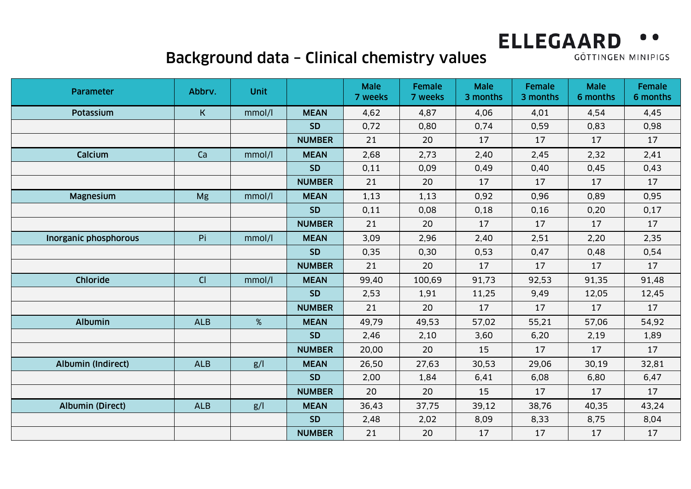# Background data – Clinical chemistry values

| Parameter                 | Abbrv.      | <b>Unit</b> |               | <b>Male</b><br>7 weeks | <b>Female</b><br>7 weeks | <b>Male</b><br>3 months | <b>Female</b><br>3 months | <b>Male</b><br>6 months | Female<br>6 months |
|---------------------------|-------------|-------------|---------------|------------------------|--------------------------|-------------------------|---------------------------|-------------------------|--------------------|
| <b>Potassium</b>          | $\mathsf K$ | mmol/l      | <b>MEAN</b>   | 4,62                   | 4,87                     | 4,06                    | 4,01                      | 4,54                    | 4,45               |
|                           |             |             | <b>SD</b>     | 0,72                   | 0,80                     | 0,74                    | 0,59                      | 0,83                    | 0,98               |
|                           |             |             | <b>NUMBER</b> | 21                     | 20                       | 17                      | 17                        | 17                      | 17                 |
| Calcium                   | Ca          | mmol/l      | <b>MEAN</b>   | 2,68                   | 2,73                     | 2,40                    | 2,45                      | 2,32                    | 2,41               |
|                           |             |             | <b>SD</b>     | 0,11                   | 0,09                     | 0,49                    | 0,40                      | 0,45                    | 0,43               |
|                           |             |             | <b>NUMBER</b> | 21                     | 20                       | 17                      | 17                        | 17                      | 17                 |
| <b>Magnesium</b>          | Mg          | mmol/l      | <b>MEAN</b>   | 1,13                   | 1,13                     | 0,92                    | 0,96                      | 0,89                    | 0,95               |
|                           |             |             | <b>SD</b>     | 0,11                   | 0,08                     | 0,18                    | 0, 16                     | 0,20                    | 0,17               |
|                           |             |             | <b>NUMBER</b> | 21                     | 20                       | 17                      | 17                        | 17                      | 17                 |
| Inorganic phosphorous     | Pi          | mmol/l      | <b>MEAN</b>   | 3,09                   | 2,96                     | 2,40                    | 2,51                      | 2,20                    | 2,35               |
|                           |             |             | <b>SD</b>     | 0,35                   | 0,30                     | 0,53                    | 0,47                      | 0,48                    | 0,54               |
|                           |             |             | <b>NUMBER</b> | 21                     | 20                       | 17                      | 17                        | 17                      | 17                 |
| Chloride                  | CI          | mmol/l      | <b>MEAN</b>   | 99,40                  | 100,69                   | 91,73                   | 92,53                     | 91,35                   | 91,48              |
|                           |             |             | <b>SD</b>     | 2,53                   | 1,91                     | 11,25                   | 9,49                      | 12,05                   | 12,45              |
|                           |             |             | <b>NUMBER</b> | 21                     | 20                       | 17                      | 17                        | 17                      | 17                 |
| <b>Albumin</b>            | <b>ALB</b>  | %           | <b>MEAN</b>   | 49,79                  | 49,53                    | 57,02                   | 55,21                     | 57,06                   | 54,92              |
|                           |             |             | <b>SD</b>     | 2,46                   | 2,10                     | 3,60                    | 6,20                      | 2,19                    | 1,89               |
|                           |             |             | <b>NUMBER</b> | 20,00                  | 20                       | 15                      | 17                        | 17                      | 17                 |
| <b>Albumin (Indirect)</b> | <b>ALB</b>  | g/          | <b>MEAN</b>   | 26,50                  | 27,63                    | 30,53                   | 29,06                     | 30,19                   | 32,81              |
|                           |             |             | <b>SD</b>     | 2,00                   | 1,84                     | 6,41                    | 6,08                      | 6,80                    | 6,47               |
|                           |             |             | <b>NUMBER</b> | 20                     | 20                       | 15                      | 17                        | 17                      | 17                 |
| <b>Albumin (Direct)</b>   | <b>ALB</b>  | g/          | <b>MEAN</b>   | 36,43                  | 37,75                    | 39,12                   | 38,76                     | 40,35                   | 43,24              |
|                           |             |             | <b>SD</b>     | 2,48                   | 2,02                     | 8,09                    | 8,33                      | 8,75                    | 8,04               |
|                           |             |             | <b>NUMBER</b> | 21                     | 20                       | 17                      | 17                        | 17                      | 17                 |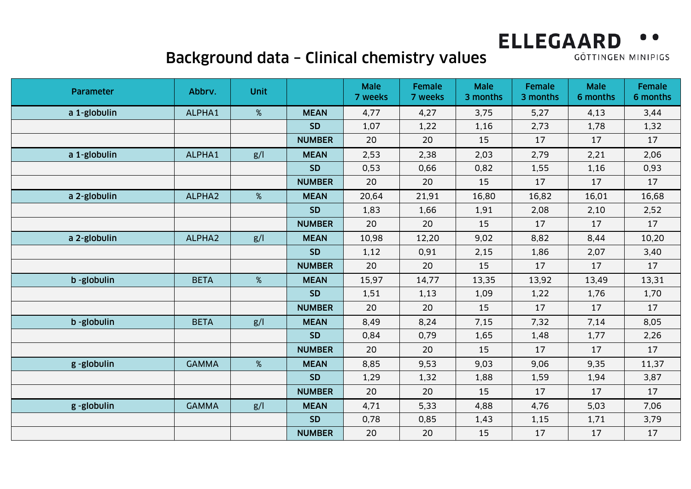# Background data – Clinical chemistry values

| Parameter    | Abbrv.       | <b>Unit</b> |               | <b>Male</b><br>7 weeks | <b>Female</b><br>7 weeks | <b>Male</b><br>3 months | Female<br>3 months | <b>Male</b><br>6 months | Female<br>6 months |
|--------------|--------------|-------------|---------------|------------------------|--------------------------|-------------------------|--------------------|-------------------------|--------------------|
| a 1-globulin | ALPHA1       | %           | <b>MEAN</b>   | 4,77                   | 4,27                     | 3,75                    | 5,27               | 4,13                    | 3,44               |
|              |              |             | <b>SD</b>     | 1,07                   | 1,22                     | 1,16                    | 2,73               | 1,78                    | 1,32               |
|              |              |             | <b>NUMBER</b> | 20                     | 20                       | 15                      | 17                 | 17                      | 17                 |
| a 1-globulin | ALPHA1       | g/          | <b>MEAN</b>   | 2,53                   | 2,38                     | 2,03                    | 2,79               | 2,21                    | 2,06               |
|              |              |             | <b>SD</b>     | 0,53                   | 0,66                     | 0,82                    | 1,55               | 1,16                    | 0,93               |
|              |              |             | <b>NUMBER</b> | 20                     | 20                       | 15                      | 17                 | 17                      | 17                 |
| a 2-globulin | ALPHA2       | %           | <b>MEAN</b>   | 20,64                  | 21,91                    | 16,80                   | 16,82              | 16,01                   | 16,68              |
|              |              |             | <b>SD</b>     | 1,83                   | 1,66                     | 1,91                    | 2,08               | 2,10                    | 2,52               |
|              |              |             | <b>NUMBER</b> | 20                     | 20                       | 15                      | 17                 | 17                      | 17                 |
| a 2-globulin | ALPHA2       | g/          | <b>MEAN</b>   | 10,98                  | 12,20                    | 9,02                    | 8,82               | 8,44                    | 10,20              |
|              |              |             | <b>SD</b>     | 1,12                   | 0,91                     | 2,15                    | 1,86               | 2,07                    | 3,40               |
|              |              |             | <b>NUMBER</b> | 20                     | 20                       | 15                      | 17                 | 17                      | 17                 |
| b -globulin  | <b>BETA</b>  | %           | <b>MEAN</b>   | 15,97                  | 14,77                    | 13,35                   | 13,92              | 13,49                   | 13,31              |
|              |              |             | <b>SD</b>     | 1,51                   | 1,13                     | 1,09                    | 1,22               | 1,76                    | 1,70               |
|              |              |             | <b>NUMBER</b> | 20                     | 20                       | 15                      | 17                 | 17                      | 17                 |
| b -globulin  | <b>BETA</b>  | g/          | <b>MEAN</b>   | 8,49                   | 8,24                     | 7,15                    | 7,32               | 7,14                    | 8,05               |
|              |              |             | <b>SD</b>     | 0,84                   | 0,79                     | 1,65                    | 1,48               | 1,77                    | 2,26               |
|              |              |             | <b>NUMBER</b> | 20                     | 20                       | 15                      | 17                 | 17                      | 17                 |
| g-globulin   | <b>GAMMA</b> | %           | <b>MEAN</b>   | 8,85                   | 9,53                     | 9,03                    | 9,06               | 9,35                    | 11,37              |
|              |              |             | <b>SD</b>     | 1,29                   | 1,32                     | 1,88                    | 1,59               | 1,94                    | 3,87               |
|              |              |             | <b>NUMBER</b> | 20                     | 20                       | 15                      | 17                 | 17                      | 17                 |
| g-globulin   | <b>GAMMA</b> | g/          | <b>MEAN</b>   | 4,71                   | 5,33                     | 4,88                    | 4,76               | 5,03                    | 7,06               |
|              |              |             | <b>SD</b>     | 0,78                   | 0,85                     | 1,43                    | 1,15               | 1,71                    | 3,79               |
|              |              |             | <b>NUMBER</b> | 20                     | 20                       | 15                      | 17                 | 17                      | 17                 |